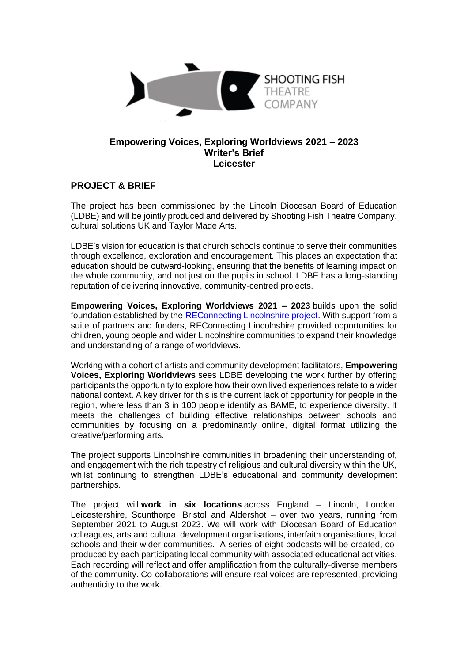

# **Empowering Voices, Exploring Worldviews 2021 – 2023 Writer's Brief Leicester**

# **PROJECT & BRIEF**

The project has been commissioned by the Lincoln Diocesan Board of Education (LDBE) and will be jointly produced and delivered by Shooting Fish Theatre Company, cultural solutions UK and Taylor Made Arts.

LDBE's vision for education is that church schools continue to serve their communities through excellence, exploration and encouragement. This places an expectation that education should be outward-looking, ensuring that the benefits of learning impact on the whole community, and not just on the pupils in school. LDBE has a long-standing reputation of delivering innovative, community-centred projects.

**Empowering Voices, Exploring Worldviews 2021 – 2023** builds upon the solid foundation established by the [REConnecting Lincolnshire project.](http://www.reconnectlincs.co.uk/) With support from a suite of partners and funders, REConnecting Lincolnshire provided opportunities for children, young people and wider Lincolnshire communities to expand their knowledge and understanding of a range of worldviews.

Working with a cohort of artists and community development facilitators, **Empowering Voices, Exploring Worldviews** sees LDBE developing the work further by offering participants the opportunity to explore how their own lived experiences relate to a wider national context. A key driver for this is the current lack of opportunity for people in the region, where less than 3 in 100 people identify as BAME, to experience diversity. It meets the challenges of building effective relationships between schools and communities by focusing on a predominantly online, digital format utilizing the creative/performing arts.

The project supports Lincolnshire communities in broadening their understanding of, and engagement with the rich tapestry of religious and cultural diversity within the UK, whilst continuing to strengthen LDBE's educational and community development partnerships.

The project will **work in six locations** across England – Lincoln, London, Leicestershire, Scunthorpe, Bristol and Aldershot – over two years, running from September 2021 to August 2023. We will work with Diocesan Board of Education colleagues, arts and cultural development organisations, interfaith organisations, local schools and their wider communities. A series of eight podcasts will be created, coproduced by each participating local community with associated educational activities. Each recording will reflect and offer amplification from the culturally-diverse members of the community. Co-collaborations will ensure real voices are represented, providing authenticity to the work.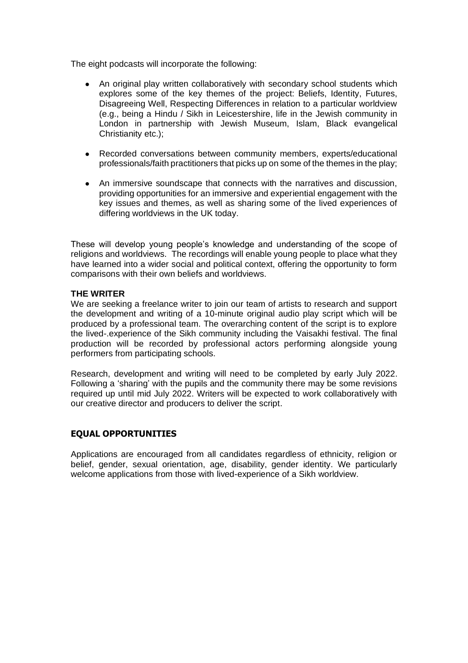The eight podcasts will incorporate the following:

- An original play written collaboratively with secondary school students which explores some of the key themes of the project: Beliefs, Identity, Futures, Disagreeing Well, Respecting Differences in relation to a particular worldview (e.g., being a Hindu / Sikh in Leicestershire, life in the Jewish community in London in partnership with Jewish Museum, Islam, Black evangelical Christianity etc.);
- Recorded conversations between community members, experts/educational professionals/faith practitioners that picks up on some of the themes in the play;
- An immersive soundscape that connects with the narratives and discussion, providing opportunities for an immersive and experiential engagement with the key issues and themes, as well as sharing some of the lived experiences of differing worldviews in the UK today.

These will develop young people's knowledge and understanding of the scope of religions and worldviews. The recordings will enable young people to place what they have learned into a wider social and political context, offering the opportunity to form comparisons with their own beliefs and worldviews.

### **THE WRITER**

We are seeking a freelance writer to join our team of artists to research and support the development and writing of a 10-minute original audio play script which will be produced by a professional team. The overarching content of the script is to explore the lived-.experience of the Sikh community including the Vaisakhi festival. The final production will be recorded by professional actors performing alongside young performers from participating schools.

Research, development and writing will need to be completed by early July 2022. Following a 'sharing' with the pupils and the community there may be some revisions required up until mid July 2022. Writers will be expected to work collaboratively with our creative director and producers to deliver the script.

## **EQUAL OPPORTUNITIES**

Applications are encouraged from all candidates regardless of ethnicity, religion or belief, gender, sexual orientation, age, disability, gender identity. We particularly welcome applications from those with lived-experience of a Sikh worldview.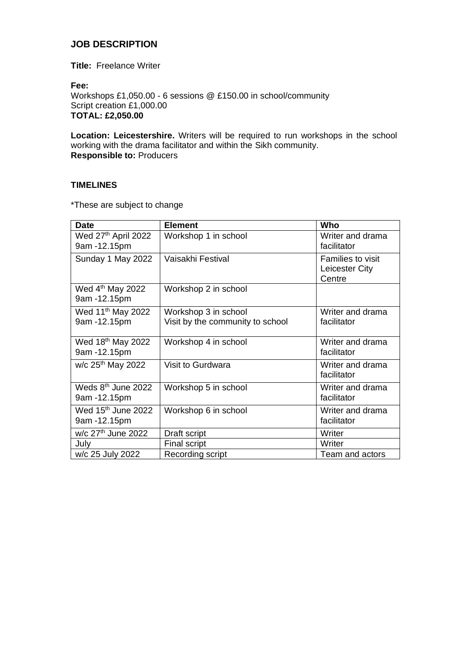# **JOB DESCRIPTION**

**Title:** Freelance Writer

**Fee:** Workshops £1,050.00 - 6 sessions @ £150.00 in school/community Script creation £1,000.00 **TOTAL: £2,050.00**

**Location: Leicestershire.** Writers will be required to run workshops in the school working with the drama facilitator and within the Sikh community. **Responsible to:** Producers

### **TIMELINES**

\*These are subject to change

| <b>Date</b>                                     | <b>Element</b>                                           | Who                                           |
|-------------------------------------------------|----------------------------------------------------------|-----------------------------------------------|
| Wed 27th April 2022<br>9am - 12.15pm            | Workshop 1 in school                                     | Writer and drama<br>facilitator               |
| Sunday 1 May 2022                               | Vaisakhi Festival                                        | Families to visit<br>Leicester City<br>Centre |
| Wed 4 <sup>th</sup> May 2022<br>9am -12.15pm    | Workshop 2 in school                                     |                                               |
| Wed 11 <sup>th</sup> May 2022<br>9am - 12.15pm  | Workshop 3 in school<br>Visit by the community to school | Writer and drama<br>facilitator               |
| Wed 18 <sup>th</sup> May 2022<br>9am - 12.15pm  | Workshop 4 in school                                     | Writer and drama<br>facilitator               |
| w/c 25 <sup>th</sup> May 2022                   | Visit to Gurdwara                                        | Writer and drama<br>facilitator               |
| Weds $8th$ June 2022<br>9am - 12.15pm           | Workshop 5 in school                                     | Writer and drama<br>facilitator               |
| Wed 15 <sup>th</sup> June 2022<br>9am - 12.15pm | Workshop 6 in school                                     | Writer and drama<br>facilitator               |
| w/c 27 <sup>th</sup> June 2022                  | Draft script                                             | Writer                                        |
| July                                            | Final script                                             | Writer                                        |
| w/c 25 July 2022                                | Recording script                                         | Team and actors                               |